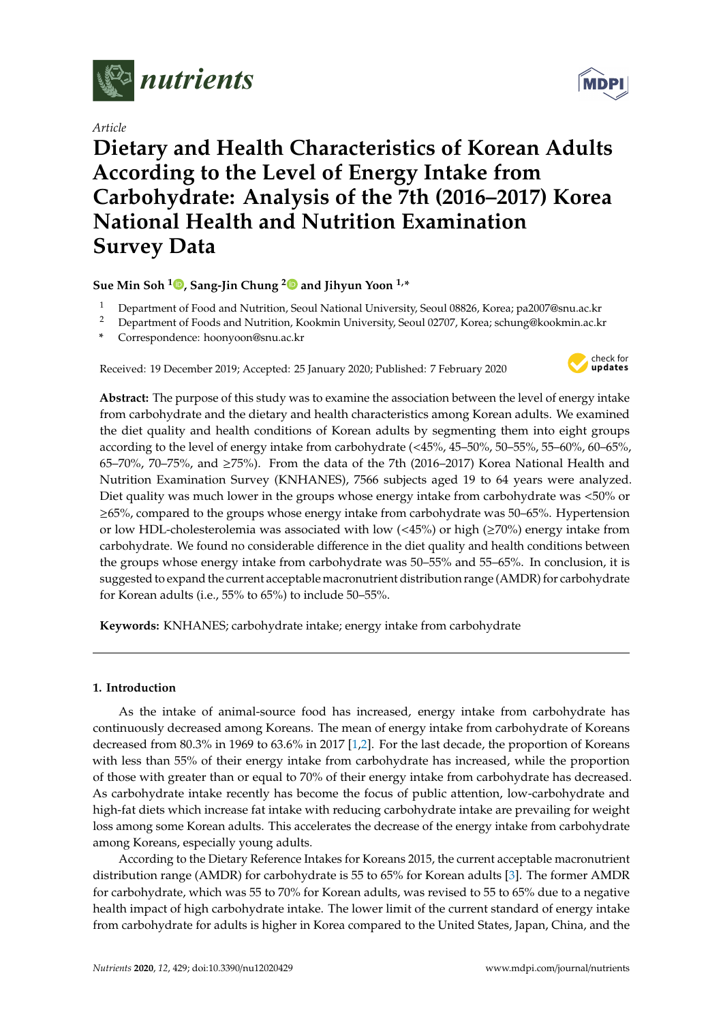

*Article*

# **Dietary and Health Characteristics of Korean Adults According to the Level of Energy Intake from Carbohydrate: Analysis of the 7th (2016–2017) Korea National Health and Nutrition Examination Survey Data**

**Sue Min Soh <sup>1</sup> [,](https://orcid.org/0000-0002-3326-9781) Sang-Jin Chung [2](https://orcid.org/0000-0003-4804-7206) and Jihyun Yoon 1,\***

- <sup>1</sup> Department of Food and Nutrition, Seoul National University, Seoul 08826, Korea; pa2007@snu.ac.kr
- <sup>2</sup> Department of Foods and Nutrition, Kookmin University, Seoul 02707, Korea; schung@kookmin.ac.kr
- **\*** Correspondence: hoonyoon@snu.ac.kr

Received: 19 December 2019; Accepted: 25 January 2020; Published: 7 February 2020



**Abstract:** The purpose of this study was to examine the association between the level of energy intake from carbohydrate and the dietary and health characteristics among Korean adults. We examined the diet quality and health conditions of Korean adults by segmenting them into eight groups according to the level of energy intake from carbohydrate (<45%, 45–50%, 50–55%, 55–60%, 60–65%, 65–70%, 70–75%, and  $\geq$ 75%). From the data of the 7th (2016–2017) Korea National Health and Nutrition Examination Survey (KNHANES), 7566 subjects aged 19 to 64 years were analyzed. Diet quality was much lower in the groups whose energy intake from carbohydrate was <50% or ≥65%, compared to the groups whose energy intake from carbohydrate was 50–65%. Hypertension or low HDL-cholesterolemia was associated with low (<45%) or high (≥70%) energy intake from carbohydrate. We found no considerable difference in the diet quality and health conditions between the groups whose energy intake from carbohydrate was 50–55% and 55–65%. In conclusion, it is suggested to expand the current acceptable macronutrient distribution range (AMDR) for carbohydrate for Korean adults (i.e., 55% to 65%) to include 50–55%.

**Keywords:** KNHANES; carbohydrate intake; energy intake from carbohydrate

## **1. Introduction**

As the intake of animal-source food has increased, energy intake from carbohydrate has continuously decreased among Koreans. The mean of energy intake from carbohydrate of Koreans decreased from 80.3% in 1969 to 63.6% in 2017 [\[1](#page-11-0)[,2\]](#page-11-1). For the last decade, the proportion of Koreans with less than 55% of their energy intake from carbohydrate has increased, while the proportion of those with greater than or equal to 70% of their energy intake from carbohydrate has decreased. As carbohydrate intake recently has become the focus of public attention, low-carbohydrate and high-fat diets which increase fat intake with reducing carbohydrate intake are prevailing for weight loss among some Korean adults. This accelerates the decrease of the energy intake from carbohydrate among Koreans, especially young adults.

According to the Dietary Reference Intakes for Koreans 2015, the current acceptable macronutrient distribution range (AMDR) for carbohydrate is 55 to 65% for Korean adults [\[3\]](#page-11-2). The former AMDR for carbohydrate, which was 55 to 70% for Korean adults, was revised to 55 to 65% due to a negative health impact of high carbohydrate intake. The lower limit of the current standard of energy intake from carbohydrate for adults is higher in Korea compared to the United States, Japan, China, and the

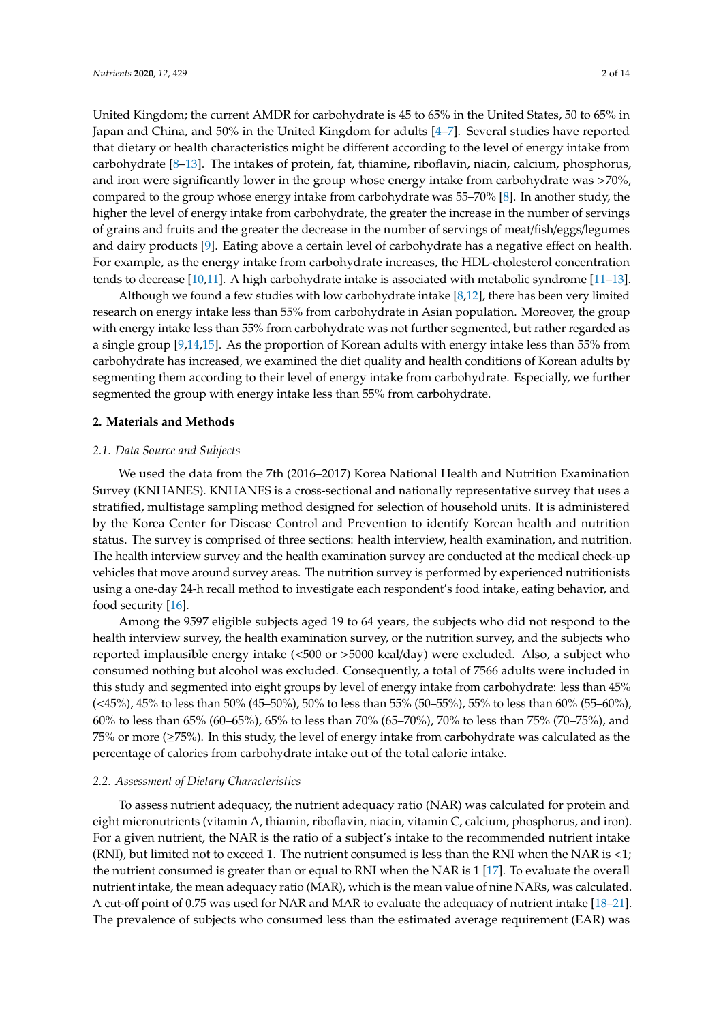United Kingdom; the current AMDR for carbohydrate is 45 to 65% in the United States, 50 to 65% in Japan and China, and 50% in the United Kingdom for adults [\[4–](#page-11-3)[7\]](#page-11-4). Several studies have reported that dietary or health characteristics might be different according to the level of energy intake from carbohydrate [\[8–](#page-11-5)[13\]](#page-12-0). The intakes of protein, fat, thiamine, riboflavin, niacin, calcium, phosphorus, and iron were significantly lower in the group whose energy intake from carbohydrate was >70%, compared to the group whose energy intake from carbohydrate was 55–70% [\[8\]](#page-11-5). In another study, the higher the level of energy intake from carbohydrate, the greater the increase in the number of servings of grains and fruits and the greater the decrease in the number of servings of meat/fish/eggs/legumes and dairy products [\[9\]](#page-11-6). Eating above a certain level of carbohydrate has a negative effect on health. For example, as the energy intake from carbohydrate increases, the HDL-cholesterol concentration tends to decrease [\[10](#page-11-7)[,11\]](#page-11-8). A high carbohydrate intake is associated with metabolic syndrome [\[11](#page-11-8)[–13\]](#page-12-0).

Although we found a few studies with low carbohydrate intake [\[8,](#page-11-5)[12\]](#page-12-1), there has been very limited research on energy intake less than 55% from carbohydrate in Asian population. Moreover, the group with energy intake less than 55% from carbohydrate was not further segmented, but rather regarded as a single group [\[9,](#page-11-6)[14,](#page-12-2)[15\]](#page-12-3). As the proportion of Korean adults with energy intake less than 55% from carbohydrate has increased, we examined the diet quality and health conditions of Korean adults by segmenting them according to their level of energy intake from carbohydrate. Especially, we further segmented the group with energy intake less than 55% from carbohydrate.

#### **2. Materials and Methods**

#### *2.1. Data Source and Subjects*

We used the data from the 7th (2016–2017) Korea National Health and Nutrition Examination Survey (KNHANES). KNHANES is a cross-sectional and nationally representative survey that uses a stratified, multistage sampling method designed for selection of household units. It is administered by the Korea Center for Disease Control and Prevention to identify Korean health and nutrition status. The survey is comprised of three sections: health interview, health examination, and nutrition. The health interview survey and the health examination survey are conducted at the medical check-up vehicles that move around survey areas. The nutrition survey is performed by experienced nutritionists using a one-day 24-h recall method to investigate each respondent's food intake, eating behavior, and food security [\[16\]](#page-12-4).

Among the 9597 eligible subjects aged 19 to 64 years, the subjects who did not respond to the health interview survey, the health examination survey, or the nutrition survey, and the subjects who reported implausible energy intake (<500 or >5000 kcal/day) were excluded. Also, a subject who consumed nothing but alcohol was excluded. Consequently, a total of 7566 adults were included in this study and segmented into eight groups by level of energy intake from carbohydrate: less than 45% (<45%), 45% to less than 50% (45–50%), 50% to less than 55% (50–55%), 55% to less than 60% (55–60%), 60% to less than 65% (60–65%), 65% to less than 70% (65–70%), 70% to less than 75% (70–75%), and 75% or more (≥75%). In this study, the level of energy intake from carbohydrate was calculated as the percentage of calories from carbohydrate intake out of the total calorie intake.

#### *2.2. Assessment of Dietary Characteristics*

To assess nutrient adequacy, the nutrient adequacy ratio (NAR) was calculated for protein and eight micronutrients (vitamin A, thiamin, riboflavin, niacin, vitamin C, calcium, phosphorus, and iron). For a given nutrient, the NAR is the ratio of a subject's intake to the recommended nutrient intake (RNI), but limited not to exceed 1. The nutrient consumed is less than the RNI when the NAR is  $<1$ ; the nutrient consumed is greater than or equal to RNI when the NAR is 1 [\[17\]](#page-12-5). To evaluate the overall nutrient intake, the mean adequacy ratio (MAR), which is the mean value of nine NARs, was calculated. A cut-off point of 0.75 was used for NAR and MAR to evaluate the adequacy of nutrient intake [\[18–](#page-12-6)[21\]](#page-12-7). The prevalence of subjects who consumed less than the estimated average requirement (EAR) was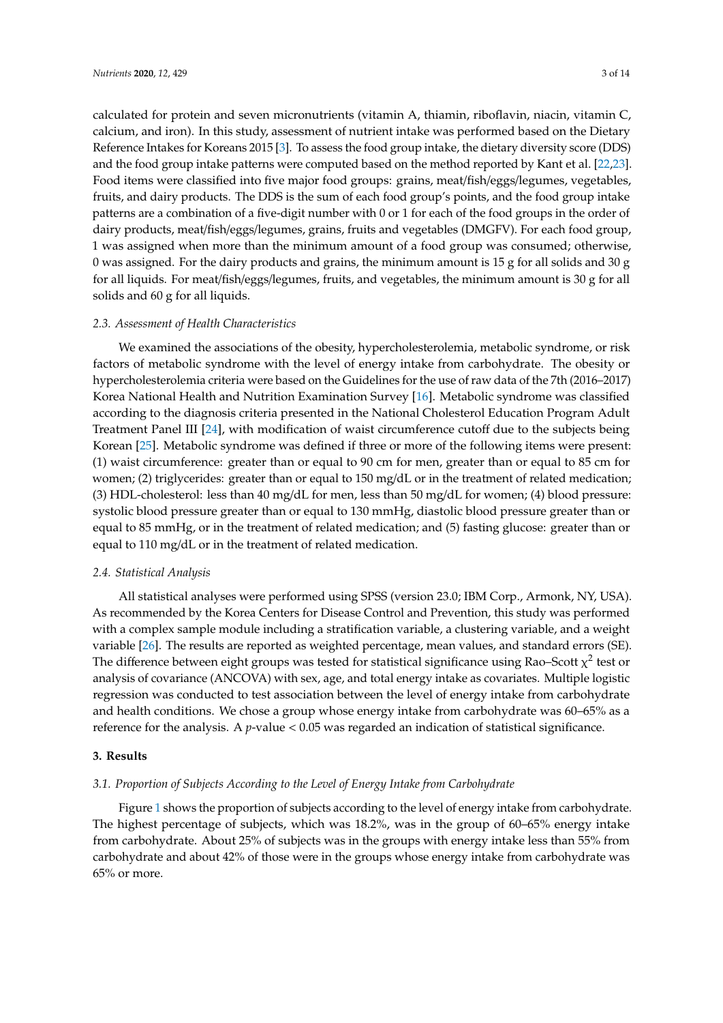calculated for protein and seven micronutrients (vitamin A, thiamin, riboflavin, niacin, vitamin C, calcium, and iron). In this study, assessment of nutrient intake was performed based on the Dietary Reference Intakes for Koreans 2015 [\[3\]](#page-11-2). To assess the food group intake, the dietary diversity score (DDS) and the food group intake patterns were computed based on the method reported by Kant et al. [\[22](#page-12-8)[,23\]](#page-12-9). Food items were classified into five major food groups: grains, meat/fish/eggs/legumes, vegetables, fruits, and dairy products. The DDS is the sum of each food group's points, and the food group intake patterns are a combination of a five-digit number with 0 or 1 for each of the food groups in the order of dairy products, meat/fish/eggs/legumes, grains, fruits and vegetables (DMGFV). For each food group, 1 was assigned when more than the minimum amount of a food group was consumed; otherwise, 0 was assigned. For the dairy products and grains, the minimum amount is 15 g for all solids and 30 g for all liquids. For meat/fish/eggs/legumes, fruits, and vegetables, the minimum amount is 30 g for all solids and 60 g for all liquids.

#### *2.3. Assessment of Health Characteristics*

We examined the associations of the obesity, hypercholesterolemia, metabolic syndrome, or risk factors of metabolic syndrome with the level of energy intake from carbohydrate. The obesity or hypercholesterolemia criteria were based on the Guidelines for the use of raw data of the 7th (2016–2017) Korea National Health and Nutrition Examination Survey [\[16\]](#page-12-4). Metabolic syndrome was classified according to the diagnosis criteria presented in the National Cholesterol Education Program Adult Treatment Panel III [\[24\]](#page-12-10), with modification of waist circumference cutoff due to the subjects being Korean [\[25\]](#page-12-11). Metabolic syndrome was defined if three or more of the following items were present: (1) waist circumference: greater than or equal to 90 cm for men, greater than or equal to 85 cm for women; (2) triglycerides: greater than or equal to 150 mg/dL or in the treatment of related medication; (3) HDL-cholesterol: less than 40 mg/dL for men, less than 50 mg/dL for women; (4) blood pressure: systolic blood pressure greater than or equal to 130 mmHg, diastolic blood pressure greater than or equal to 85 mmHg, or in the treatment of related medication; and (5) fasting glucose: greater than or equal to 110 mg/dL or in the treatment of related medication.

#### *2.4. Statistical Analysis*

All statistical analyses were performed using SPSS (version 23.0; IBM Corp., Armonk, NY, USA). As recommended by the Korea Centers for Disease Control and Prevention, this study was performed with a complex sample module including a stratification variable, a clustering variable, and a weight variable [\[26\]](#page-12-12). The results are reported as weighted percentage, mean values, and standard errors (SE). The difference between eight groups was tested for statistical significance using Rao–Scott  $\chi^2$  test or analysis of covariance (ANCOVA) with sex, age, and total energy intake as covariates. Multiple logistic regression was conducted to test association between the level of energy intake from carbohydrate and health conditions. We chose a group whose energy intake from carbohydrate was 60–65% as a reference for the analysis. A *p*-value < 0.05 was regarded an indication of statistical significance.

#### **3. Results**

#### *3.1. Proportion of Subjects According to the Level of Energy Intake from Carbohydrate*

Figure [1](#page-3-0) shows the proportion of subjects according to the level of energy intake from carbohydrate. The highest percentage of subjects, which was 18.2%, was in the group of 60–65% energy intake from carbohydrate. About 25% of subjects was in the groups with energy intake less than 55% from carbohydrate and about 42% of those were in the groups whose energy intake from carbohydrate was 65% or more.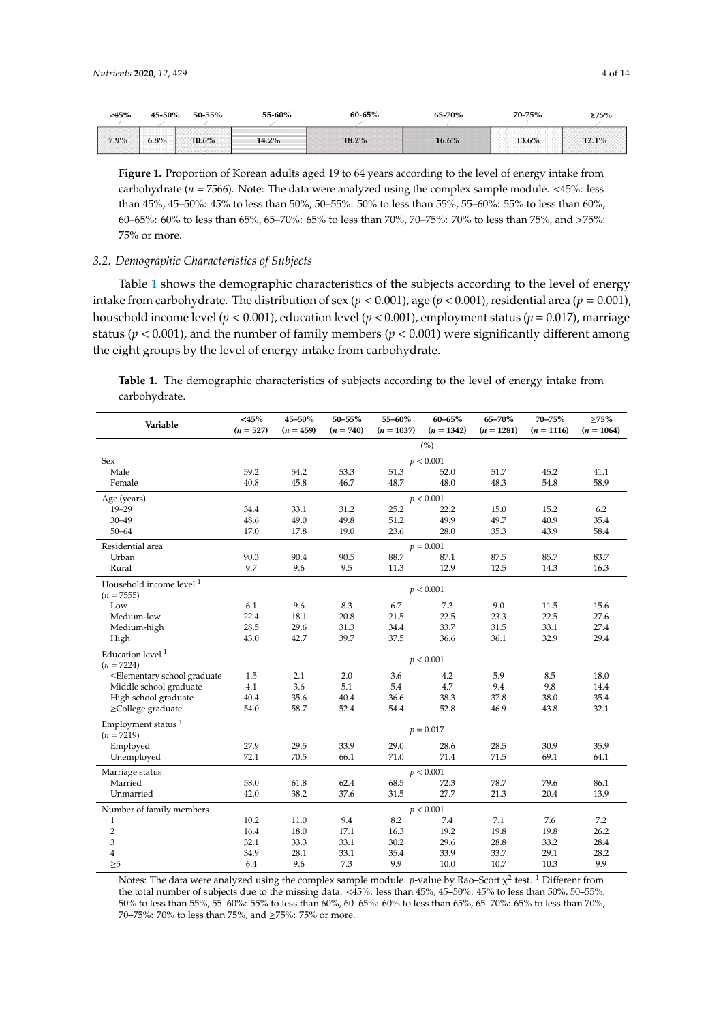<span id="page-3-0"></span>

| 15%     | 50%  | −۰    | $-60%$ |                                                                                                                                                                                                      | √סח                      |     |  |
|---------|------|-------|--------|------------------------------------------------------------------------------------------------------------------------------------------------------------------------------------------------------|--------------------------|-----|--|
| $7.9\%$ | 6.8% | $6\%$ |        | --------------------------------<br>-------------------------------------<br>-----------------------<br><br>~~~~~~~~<br><br>------------------------<br><br><br><br>,,,,,,,,,,,,<br>,,,,,,,,,,,,<br> | <b><i>CONTRACTOR</i></b> | 60/ |  |

**Figure 1.** Proportion of Korean adults aged 19 to 64 years according to the level of energy intake from **Figure 1.** Proportion of Korean adults aged 19 to 64 years according to the level of energy intake from carbohydrate (*n* = 7566). Note: The data were analyzed using the complex sample module. <45%: less carbohydrate (*n* = 7566). Note: The data were analyzed using the complex sample module. <45%: less than 45%, 45–50%: 45% to less than 50%, 50–55%: 50% to less than 55%, 55–60%: 55% to less than 60%, than 45%, 45–50%: 45% to less than 50%, 50–55%: 50% to less than 55%, 55–60%: 55% to less than 60%, 60–65%: 60% to less than 65%, 65–70%: 65% to less than 70%, 70–75%: 70% to less than 75%, and >75%: 60–65%: 60% to less than 65%, 65–70%: 65% to less than 70%, 70–75%: 70% to less than 75%, and >75%: 75% or more. 75% or more.

# *3.2. Demographic Characteristics of Subjects 3.2. Demographic Characteristics of Subjects*

intake from carbohydrate. The distribution of sex  $(p < 0.001)$ , age  $(p < 0.001)$ , residential area  $(p = 0.001)$ ,  $\frac{1}{1}$ ,  $\frac{1}{1}$ ,  $\frac{1}{1}$ ,  $\frac{1}{1}$ ,  $\frac{1}{1}$ ,  $\frac{1}{1}$ ,  $\frac{1}{1}$ ,  $\frac{1}{1}$ ,  $\frac{1}{1}$ ,  $\frac{1}{1}$ ,  $\frac{1}{1}$ ,  $\frac{1}{1}$ ,  $\frac{1}{1}$ ,  $\frac{1}{1}$ ,  $\frac{1}{1}$ ,  $\frac{1}{1}$ ,  $\frac{1}{1}$ ,  $\frac{1}{1}$ ,  $\frac{1}{1}$ ,  $\frac{1}{1}$ , household income level ( $p < 0.001$ ), education level ( $p < 0.001$ ), employment status ( $p = 0.017$ ), marriage status ( $p < 0.001$ ), and the number of family members ( $p < 0.001$ ) were significantly different among the eight groups by the level of energy intake from carbohydrate. Table [1](#page-3-1) shows the demographic characteristics of the subjects according to the level of energy

<span id="page-3-1"></span>Table 1. The demographic characteristics of subjects according to the level of energy intake from  $\mathcal{L}_{\mathcal{D}}$  is  $\mathcal{L}_{\mathcal{D}}$  to  $\mathcal{L}_{\mathcal{D}}$  to  $\mathcal{L}_{\mathcal{D}}$  to  $\mathcal{L}_{\mathcal{D}}$  to  $\mathcal{L}_{\mathcal{D}}$  to  $\mathcal{L}_{\mathcal{D}}$  to  $\mathcal{L}_{\mathcal{D}}$  to  $\mathcal{L}_{\mathcal{D}}$  to  $\mathcal{L}_{\mathcal{D}}$  to  $\mathcal{L}_{\mathcal{D}}$  to  $\mathcal{L}_{\mathcal{D}}$  to  $\mathcal{$ carbohydrate.

| Variable                            | $<$ 45%<br>$(n = 527)$ | 45-50%<br>$(n = 459)$ | $50 - 55\%$<br>$(n = 740)$ | 55-60%<br>$(n = 1037)$ | $60 - 65%$<br>$(n = 1342)$ | 65-70%<br>$(n = 1281)$ | 70-75%<br>$(n = 1116)$ | $\geq$ 75%<br>$(n = 1064)$ |
|-------------------------------------|------------------------|-----------------------|----------------------------|------------------------|----------------------------|------------------------|------------------------|----------------------------|
|                                     |                        |                       |                            |                        | (%)                        |                        |                        |                            |
| Sex                                 |                        |                       |                            |                        | p < 0.001                  |                        |                        |                            |
| Male                                | 59.2                   | 54.2                  | 53.3                       | 51.3                   | 52.0                       | 51.7                   | 45.2                   | 41.1                       |
| Female                              | 40.8                   | 45.8                  | 46.7                       | 48.7                   | 48.0                       | 48.3                   | 54.8                   | 58.9                       |
|                                     |                        |                       |                            |                        |                            |                        |                        |                            |
| Age (years)                         |                        |                       |                            |                        | p < 0.001                  |                        |                        |                            |
| $19 - 29$                           | 34.4                   | 33.1                  | 31.2                       | 25.2                   | 22.2                       | 15.0                   | 15.2                   | 6.2                        |
| $30 - 49$                           | 48.6                   | 49.0                  | 49.8                       | 51.2                   | 49.9                       | 49.7                   | 40.9                   | 35.4                       |
| $50 - 64$                           | 17.0                   | 17.8                  | 19.0                       | 23.6                   | 28.0                       | 35.3                   | 43.9                   | 58.4                       |
| Residential area                    |                        |                       |                            |                        | $p = 0.001$                |                        |                        |                            |
| Urban                               | 90.3                   | 90.4                  | 90.5                       | 88.7                   | 87.1                       | 87.5                   | 85.7                   | 83.7                       |
| Rural                               | 9.7                    | 9.6                   | 9.5                        | 11.3                   | 12.9                       | 12.5                   | 14.3                   | 16.3                       |
| Household income level <sup>1</sup> |                        |                       |                            |                        |                            |                        |                        |                            |
| $(n = 7555)$                        |                        |                       |                            |                        | p < 0.001                  |                        |                        |                            |
| Low                                 | 6.1                    | 9.6                   | 8.3                        | 6.7                    | 7.3                        | 9.0                    | 11.5                   | 15.6                       |
| Medium-low                          | 22.4                   | 18.1                  | 20.8                       | 21.5                   | 22.5                       | 23.3                   | 22.5                   | 27.6                       |
| Medium-high                         | 28.5                   | 29.6                  | 31.3                       | 34.4                   | 33.7                       | 31.5                   | 33.1                   | 27.4                       |
| High                                | 43.0                   | 42.7                  | 39.7                       | 37.5                   | 36.6                       | 36.1                   | 32.9                   | 29.4                       |
| Education level $1$                 |                        |                       |                            |                        |                            |                        |                        |                            |
| $(n = 7224)$                        |                        |                       |                            |                        | p < 0.001                  |                        |                        |                            |
| ≤Elementary school graduate         | 1.5                    | 2.1                   | 2.0                        | 3.6                    | 4.2                        | 5.9                    | 8.5                    | 18.0                       |
| Middle school graduate              | 4.1                    | 3.6                   | 5.1                        | 5.4                    | 4.7                        | 9.4                    | 9.8                    | 14.4                       |
| High school graduate                | 40.4                   | 35.6                  | 40.4                       | 36.6                   | 38.3                       | 37.8                   | 38.0                   | 35.4                       |
| ≥College graduate                   | 54.0                   | 58.7                  | 52.4                       | 54.4                   | 52.8                       | 46.9                   | 43.8                   | 32.1                       |
| Employment status $1$               |                        |                       |                            |                        |                            |                        |                        |                            |
| $(n = 7219)$                        |                        |                       |                            |                        | $p = 0.017$                |                        |                        |                            |
| Employed                            | 27.9                   | 29.5                  | 33.9                       | 29.0                   | 28.6                       | 28.5                   | 30.9                   | 35.9                       |
| Unemployed                          | 72.1                   | 70.5                  | 66.1                       | 71.0                   | 71.4                       | 71.5                   | 69.1                   | 64.1                       |
| Marriage status                     |                        |                       |                            |                        | p < 0.001                  |                        |                        |                            |
| Married                             | 58.0                   | 61.8                  | 62.4                       | 68.5                   | 72.3                       | 78.7                   | 79.6                   | 86.1                       |
| Unmarried                           | 42.0                   | 38.2                  | 37.6                       | 31.5                   | 27.7                       | 21.3                   | 20.4                   | 13.9                       |
|                                     |                        |                       |                            |                        |                            |                        |                        |                            |
| Number of family members            |                        |                       |                            | 8.2                    | p < 0.001                  |                        |                        |                            |
| 1                                   | 10.2                   | 11.0                  | 9.4                        |                        | 7.4                        | 7.1                    | 7.6                    | 7.2                        |
| $\overline{2}$                      | 16.4                   | 18.0                  | 17.1                       | 16.3                   | 19.2                       | 19.8                   | 19.8                   | 26.2                       |
| 3                                   | 32.1                   | 33.3                  | 33.1                       | 30.2                   | 29.6                       | 28.8                   | 33.2                   | 28.4                       |
| 4                                   | 34.9                   | 28.1                  | 33.1                       | 35.4                   | 33.9                       | 33.7                   | 29.1                   | 28.2                       |
| >5                                  | 6.4                    | 9.6                   | 7.3                        | 9.9                    | 10.0                       | 10.7                   | 10.3                   | 9.9                        |

Notes: The data were analyzed using the complex sample module. *p*-value by Rao–Scott χ<sup>2</sup> test. <sup>1</sup> Different from the total number of subjects due to the missing data. <45%: less than 45%, 45–50%: 45% to less than 50%, 50–55%: 50% to less than 55%, 55–60%: 55% to less than 60%, 60–65%: 60% to less than 65%, 65–70%: 65% to less than 70%,<br>50.55% to less than 70%, and a state of the DDS was detailed was detailed was detailed was detailed was detai significantly lower in the groups whose energy intervals whose energy intervals  $\mathcal{L}_{\mathcal{A}}$ 70–75%: 70% to less than 75%, and ≥75%: 75% or more.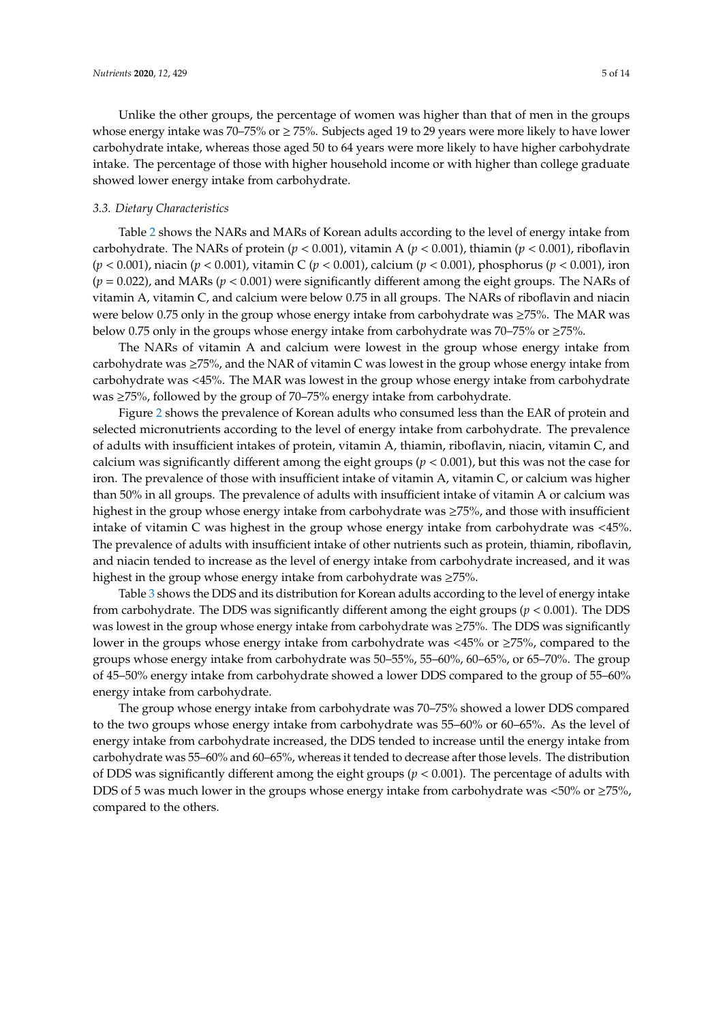Unlike the other groups, the percentage of women was higher than that of men in the groups whose energy intake was 70–75% or ≥ 75%. Subjects aged 19 to 29 years were more likely to have lower carbohydrate intake, whereas those aged 50 to 64 years were more likely to have higher carbohydrate intake. The percentage of those with higher household income or with higher than college graduate showed lower energy intake from carbohydrate.

#### *3.3. Dietary Characteristics*

Table [2](#page-5-0) shows the NARs and MARs of Korean adults according to the level of energy intake from carbohydrate. The NARs of protein (*p* < 0.001), vitamin A (*p* < 0.001), thiamin (*p* < 0.001), riboflavin (*p* < 0.001), niacin (*p* < 0.001), vitamin C (*p* < 0.001), calcium (*p* < 0.001), phosphorus (*p* < 0.001), iron (*p* = 0.022), and MARs (*p* < 0.001) were significantly different among the eight groups. The NARs of vitamin A, vitamin C, and calcium were below 0.75 in all groups. The NARs of riboflavin and niacin were below 0.75 only in the group whose energy intake from carbohydrate was ≥75%. The MAR was below 0.75 only in the groups whose energy intake from carbohydrate was 70–75% or ≥75%.

The NARs of vitamin A and calcium were lowest in the group whose energy intake from carbohydrate was  $\geq$ 75%, and the NAR of vitamin C was lowest in the group whose energy intake from carbohydrate was <45%. The MAR was lowest in the group whose energy intake from carbohydrate was ≥75%, followed by the group of 70–75% energy intake from carbohydrate.

Figure [2](#page-6-0) shows the prevalence of Korean adults who consumed less than the EAR of protein and selected micronutrients according to the level of energy intake from carbohydrate. The prevalence of adults with insufficient intakes of protein, vitamin A, thiamin, riboflavin, niacin, vitamin C, and calcium was significantly different among the eight groups (*p* < 0.001), but this was not the case for iron. The prevalence of those with insufficient intake of vitamin A, vitamin C, or calcium was higher than 50% in all groups. The prevalence of adults with insufficient intake of vitamin A or calcium was highest in the group whose energy intake from carbohydrate was ≥75%, and those with insufficient intake of vitamin C was highest in the group whose energy intake from carbohydrate was <45%. The prevalence of adults with insufficient intake of other nutrients such as protein, thiamin, riboflavin, and niacin tended to increase as the level of energy intake from carbohydrate increased, and it was highest in the group whose energy intake from carbohydrate was ≥75%.

Table [3](#page-5-1) shows the DDS and its distribution for Korean adults according to the level of energy intake from carbohydrate. The DDS was significantly different among the eight groups (*p* < 0.001). The DDS was lowest in the group whose energy intake from carbohydrate was ≥75%. The DDS was significantly lower in the groups whose energy intake from carbohydrate was <45% or ≥75%, compared to the groups whose energy intake from carbohydrate was 50–55%, 55–60%, 60–65%, or 65–70%. The group of 45–50% energy intake from carbohydrate showed a lower DDS compared to the group of 55–60% energy intake from carbohydrate.

The group whose energy intake from carbohydrate was 70–75% showed a lower DDS compared to the two groups whose energy intake from carbohydrate was 55–60% or 60–65%. As the level of energy intake from carbohydrate increased, the DDS tended to increase until the energy intake from carbohydrate was 55–60% and 60–65%, whereas it tended to decrease after those levels. The distribution of DDS was significantly different among the eight groups (*p* < 0.001). The percentage of adults with DDS of 5 was much lower in the groups whose energy intake from carbohydrate was <50% or  $\geq$ 75%, compared to the others.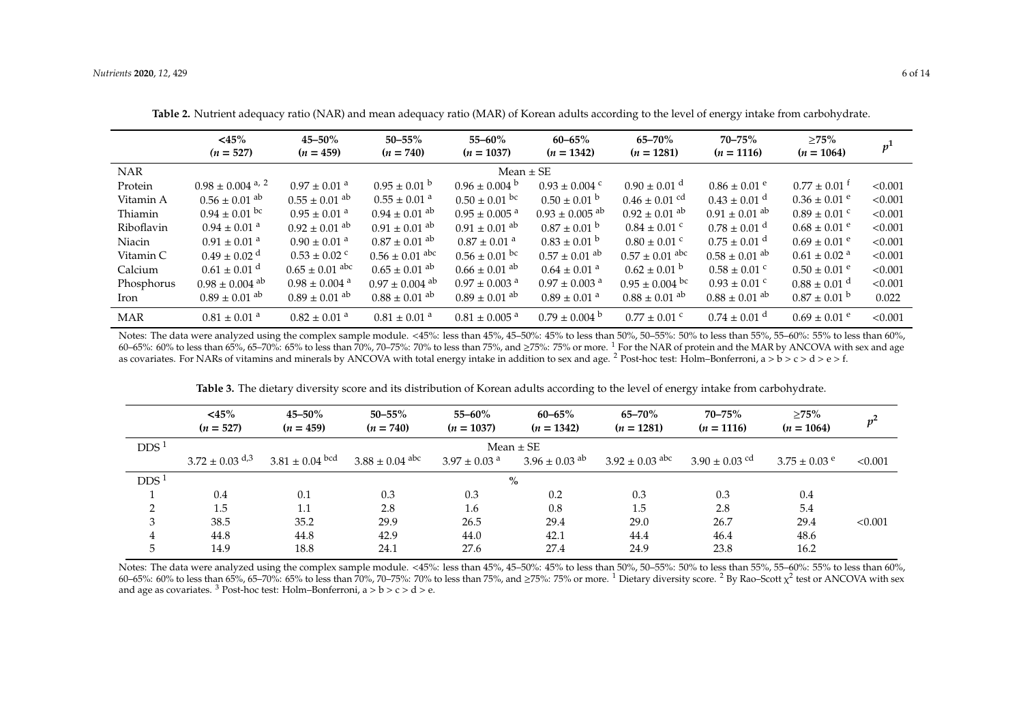|            | $<\!\!45\!\%$<br>$(n = 527)$   | $45 - 50\%$<br>$(n = 459)$    | $50 - 55\%$<br>$(n = 740)$    | $55 - 60\%$<br>$(n = 1037)$   | $60 - 65%$<br>$(n = 1342)$     | $65 - 70\%$<br>$(n = 1281)$   | $70 - 75\%$<br>$(n = 1116)$  | $>75\%$<br>$(n = 1064)$      | p <sup>1</sup> |
|------------|--------------------------------|-------------------------------|-------------------------------|-------------------------------|--------------------------------|-------------------------------|------------------------------|------------------------------|----------------|
| <b>NAR</b> |                                |                               |                               | Mean $\pm$ SE                 |                                |                               |                              |                              |                |
| Protein    | $0.98 \pm 0.004$ a, 2          | $0.97 \pm 0.01$ <sup>a</sup>  | $0.95 \pm 0.01$ b             | $0.96 \pm 0.004$ b            | $0.93 \pm 0.004$ c             | $0.90 \pm 0.01$ <sup>d</sup>  | $0.86 \pm 0.01$ e            | $0.77 \pm 0.01$ <sup>t</sup> | < 0.001        |
| Vitamin A  | $0.56 \pm 0.01$ ab             | $0.55 \pm 0.01$ ab            | $0.55 \pm 0.01$ <sup>a</sup>  | $0.50 \pm 0.01$ bc            | $0.50 \pm 0.01$ b              | $0.46 \pm 0.01$ cd            | $0.43 \pm 0.01$ <sup>d</sup> | $0.36 \pm 0.01$ e            | < 0.001        |
| Thiamin    | $0.94 \pm 0.01$ bc             | $0.95 \pm 0.01$ <sup>a</sup>  | $0.94 \pm 0.01$ <sup>ab</sup> | $0.95 \pm 0.005$ <sup>a</sup> | $0.93 \pm 0.005$ <sup>ab</sup> | $0.92 \pm 0.01$ <sup>ab</sup> | $0.91 \pm 0.01$ ab           | $0.89 \pm 0.01$ °            | < 0.001        |
| Riboflavin | $0.94 \pm 0.01$ <sup>a</sup>   | $0.92 \pm 0.01$ ab            | $0.91 \pm 0.01$ ab            | $0.91 \pm 0.01$ <sup>ab</sup> | $0.87 \pm 0.01$ b              | $0.84 \pm 0.01$ °             | $0.78 \pm 0.01$ <sup>d</sup> | $0.68 \pm 0.01$ <sup>e</sup> | < 0.001        |
| Niacin     | $0.91 \pm 0.01$ <sup>a</sup>   | $0.90 \pm 0.01$ <sup>a</sup>  | $0.87 \pm 0.01$ ab            | $0.87 \pm 0.01$ <sup>a</sup>  | $0.83 \pm 0.01$ b              | $0.80 \pm 0.01$ °             | $0.75 \pm 0.01$ <sup>d</sup> | $0.69 \pm 0.01$ e            | < 0.001        |
| Vitamin C  | $0.49 + 0.02$ <sup>d</sup>     | $0.53 \pm 0.02$ °             | $0.56 \pm 0.01$ abc           | $0.56 \pm 0.01$ bc            | $0.57 \pm 0.01$ ab             | $0.57 \pm 0.01$ abc           | $0.58 + 0.01$ <sup>ab</sup>  | $0.61 \pm 0.02$ <sup>a</sup> | < 0.001        |
| Calcium    | $0.61 \pm 0.01$ <sup>d</sup>   | $0.65 \pm 0.01$ abc           | $0.65 \pm 0.01$ ab            | $0.66 \pm 0.01$ ab            | $0.64 \pm 0.01$ <sup>a</sup>   | $0.62 \pm 0.01$ b             | $0.58 \pm 0.01$ °            | $0.50 \pm 0.01$ <sup>e</sup> | < 0.001        |
| Phosphorus | $0.98 \pm 0.004$ <sup>ab</sup> | $0.98 \pm 0.004$ <sup>a</sup> | $0.97 \pm 0.004$ ab           | $0.97 \pm 0.003$ <sup>a</sup> | $0.97 \pm 0.003$ <sup>a</sup>  | $0.95 \pm 0.004$ bc           | $0.93 \pm 0.01$ °            | $0.88 \pm 0.01$ <sup>d</sup> | < 0.001        |
| Iron       | $0.89 \pm 0.01$ ab             | $0.89 + 0.01$ <sup>ab</sup>   | $0.88 \pm 0.01$ ab            | $0.89 \pm 0.01$ ab            | $0.89 \pm 0.01$ <sup>a</sup>   | $0.88 \pm 0.01$ ab            | $0.88 \pm 0.01$ ab           | $0.87 \pm 0.01$ b            | 0.022          |
| <b>MAR</b> | $0.81 \pm 0.01$ <sup>a</sup>   | $0.82 \pm 0.01$ <sup>a</sup>  | $0.81 \pm 0.01$ <sup>a</sup>  | $0.81 \pm 0.005$ <sup>a</sup> | $0.79 \pm 0.004$ b             | $0.77 \pm 0.01$ c             | $0.74 \pm 0.01$ <sup>d</sup> | $0.69 \pm 0.01$ e            | < 0.001        |

**Table 2.** Nutrient adequacy ratio (NAR) and mean adequacy ratio (MAR) of Korean adults according to the level of energy intake from carbohydrate.

Notes: The data were analyzed using the complex sample module. <45%: less than 45%, 45–50%: 45% to less than 50%, 50–55%: 50% to less than 55%, 55–60%: 55% to less than 60%, 60–65%: 60% to less than 65%, 65–70%: 65% to less than 70%, 70–75%: 70% to less than 75%, and ≥75%: 75% or more. <sup>1</sup> For the NAR of protein and the MAR by ANCOVA with sex and age as covariates. For NARs of vitamins and minerals by ANCOVA with total energy intake in addition to sex and age. <sup>2</sup> Post-hoc test: Holm–Bonferroni, a > b > c > d > e > f.

<span id="page-5-0"></span>

|                  | $<$ 45%<br>$(n = 527)$          | $45 - 50\%$<br>$(n = 459)$ | $50 - 55%$<br>$(n = 740)$ | $55 - 60\%$<br>$(n = 1037)$  | $60 - 65%$<br>$(n = 1342)$ | $65 - 70%$<br>$(n = 1281)$ | $70 - 75%$<br>$(n = 1116)$    | >75%<br>$(n = 1064)$ | $p^2$   |
|------------------|---------------------------------|----------------------------|---------------------------|------------------------------|----------------------------|----------------------------|-------------------------------|----------------------|---------|
| DDS <sup>1</sup> | Mean $\pm$ SE                   |                            |                           |                              |                            |                            |                               |                      |         |
|                  | $3.72 \pm 0.03$ d <sub>,3</sub> | $3.81 \pm 0.04$ bcd        | $3.88 \pm 0.04$ abc       | $3.97 \pm 0.03$ <sup>a</sup> | $3.96 \pm 0.03$ ab         | $3.92 \pm 0.03$ abc        | $3.90 \pm 0.03$ <sup>cd</sup> | $3.75 \pm 0.03$ e    | < 0.001 |
| DDS <sup>1</sup> |                                 |                            |                           |                              | $\%$                       |                            |                               |                      |         |
|                  | 0.4                             | 0.1                        | 0.3                       | 0.3                          | 0.2                        | 0.3                        | 0.3                           | 0.4                  |         |
| $\mathcal{P}$    | 1.5                             | 1.1                        | 2.8                       | 1.6                          | 0.8                        | 1.5                        | 2.8                           | 5.4                  |         |
| 3                | 38.5                            | 35.2                       | 29.9                      | 26.5                         | 29.4                       | 29.0                       | 26.7                          | 29.4                 | < 0.001 |
| $\overline{4}$   | 44.8                            | 44.8                       | 42.9                      | 44.0                         | 42.1                       | 44.4                       | 46.4                          | 48.6                 |         |
| 5                | 14.9                            | 18.8                       | 24.1                      | 27.6                         | 27.4                       | 24.9                       | 23.8                          | 16.2                 |         |

**Table 3.** The dietary diversity score and its distribution of Korean adults according to the level of energy intake from carbohydrate.

<span id="page-5-1"></span>Notes: The data were analyzed using the complex sample module. <45%: less than 45%, 45–50%: 45% to less than 50%, 50–55%: 50% to less than 55%, 55–60%: 55% to less than 60%, 60–65%: 60% to less than 65%, 65–70%: 65% to less than 70%, 70–75%: 70% to less than 75%, and ≥75%: 75% or more.  $^1$  Dietary diversity score.  $^2$  By Rao–Scott  $\chi^2$  test or ANCOVA with sex and age as covariates. <sup>3</sup> Post-hoc test: Holm–Bonferroni,  $a > b > c > d > e$ .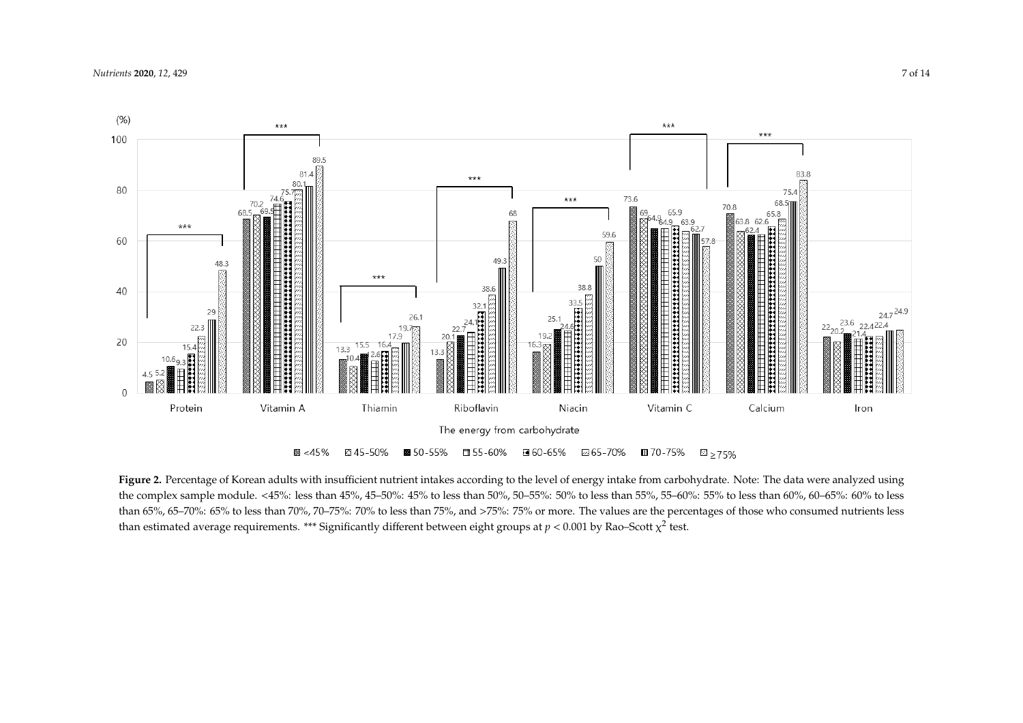

<span id="page-6-0"></span>Figure 2. Percentage of Korean adults with insufficient nutrient intakes according to the level of energy intake from carbohydrate. Note: The data were analyzed using the complex sample module. <45%: less than 45%, 45–50%: 45% to less than 50%, 50–55%: 50% to less than 55%, 55–60%: 55% to less than 60%, 60–65%: 60% to less than 65%, 65–70%: 65% to less than 70%, 70–75%: 70% to less than 75%, and >75%: 75% or more. The values are the percentages of those who consumed nutrients less than estimated average requirements. \*\*\* Significantly different between eight groups at  $p < 0.001$  by Rao-Scott  $\chi^2$  test.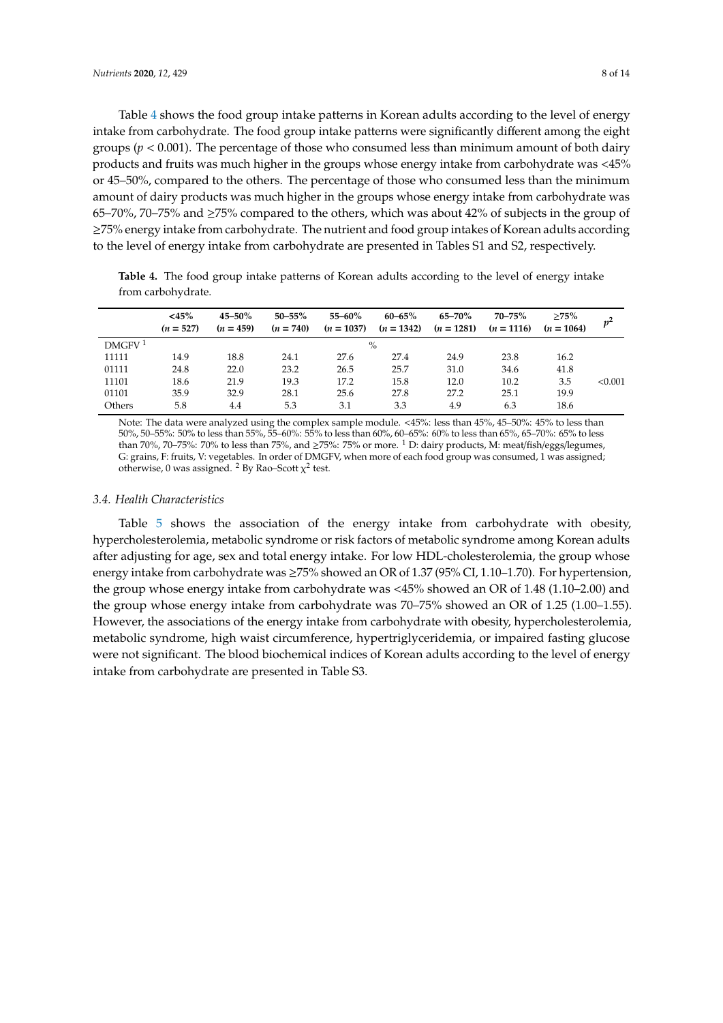Table [4](#page-7-0) shows the food group intake patterns in Korean adults according to the level of energy intake from carbohydrate. The food group intake patterns were significantly different among the eight groups ( $p < 0.001$ ). The percentage of those who consumed less than minimum amount of both dairy products and fruits was much higher in the groups whose energy intake from carbohydrate was <45% or 45–50%, compared to the others. The percentage of those who consumed less than the minimum amount of dairy products was much higher in the groups whose energy intake from carbohydrate was 65–70%, 70–75% and  $\geq$ 75% compared to the others, which was about 42% of subjects in the group of ≥75% energy intake from carbohydrate. The nutrient and food group intakes of Korean adults according to the level of energy intake from carbohydrate are presented in Tables S1 and S2, respectively.

<span id="page-7-0"></span>**Table 4.** The food group intake patterns of Korean adults according to the level of energy intake from carbohydrate.

|                    | $<$ 45%<br>$(n = 527)$ | $45 - 50\%$<br>$(n = 459)$ | $50 - 55\%$<br>$(n = 740)$ | $55 - 60\%$<br>$(n = 1037)$ | $60 - 65%$<br>$(n = 1342)$ | 65–70%<br>$(n = 1281)$ | $70 - 75%$<br>$(n = 1116)$ | >75%<br>$(n = 1064)$ |         |
|--------------------|------------------------|----------------------------|----------------------------|-----------------------------|----------------------------|------------------------|----------------------------|----------------------|---------|
| DMGFV <sup>1</sup> |                        |                            |                            |                             | $\%$                       |                        |                            |                      |         |
| 11111              | 14.9                   | 18.8                       | 24.1                       | 27.6                        | 27.4                       | 24.9                   | 23.8                       | 16.2                 |         |
| 01111              | 24.8                   | 22.0                       | 23.2                       | 26.5                        | 25.7                       | 31.0                   | 34.6                       | 41.8                 |         |
| 11101              | 18.6                   | 21.9                       | 19.3                       | 17.2                        | 15.8                       | 12.0                   | 10.2                       | 3.5                  | < 0.001 |
| 01101              | 35.9                   | 32.9                       | 28.1                       | 25.6                        | 27.8                       | 27.2                   | 25.1                       | 19.9                 |         |
| Others             | 5.8                    | 4.4                        | 5.3                        | 3.1                         | 3.3                        | 4.9                    | 6.3                        | 18.6                 |         |

Note: The data were analyzed using the complex sample module. <45%: less than 45%, 45–50%: 45% to less than 50%, 50–55%: 50% to less than 55%, 55–60%: 55% to less than 60%, 60–65%: 60% to less than 65%, 65–70%: 65% to less than 70%, 70–75%: 70% to less than 75%, and ≥75%: 75% or more. <sup>1</sup> D: dairy products, M: meat/fish/eggs/legumes, G: grains, F: fruits, V: vegetables. In order of DMGFV, when more of each food group was consumed, 1 was assigned; otherwise, 0 was assigned. <sup>2</sup> By Rao-Scott  $\chi^2$  test.

#### *3.4. Health Characteristics*

Table [5](#page-8-0) shows the association of the energy intake from carbohydrate with obesity, hypercholesterolemia, metabolic syndrome or risk factors of metabolic syndrome among Korean adults after adjusting for age, sex and total energy intake. For low HDL-cholesterolemia, the group whose energy intake from carbohydrate was ≥75% showed an OR of 1.37 (95% CI, 1.10–1.70). For hypertension, the group whose energy intake from carbohydrate was <45% showed an OR of 1.48 (1.10–2.00) and the group whose energy intake from carbohydrate was 70–75% showed an OR of 1.25 (1.00–1.55). However, the associations of the energy intake from carbohydrate with obesity, hypercholesterolemia, metabolic syndrome, high waist circumference, hypertriglyceridemia, or impaired fasting glucose were not significant. The blood biochemical indices of Korean adults according to the level of energy intake from carbohydrate are presented in Table S3.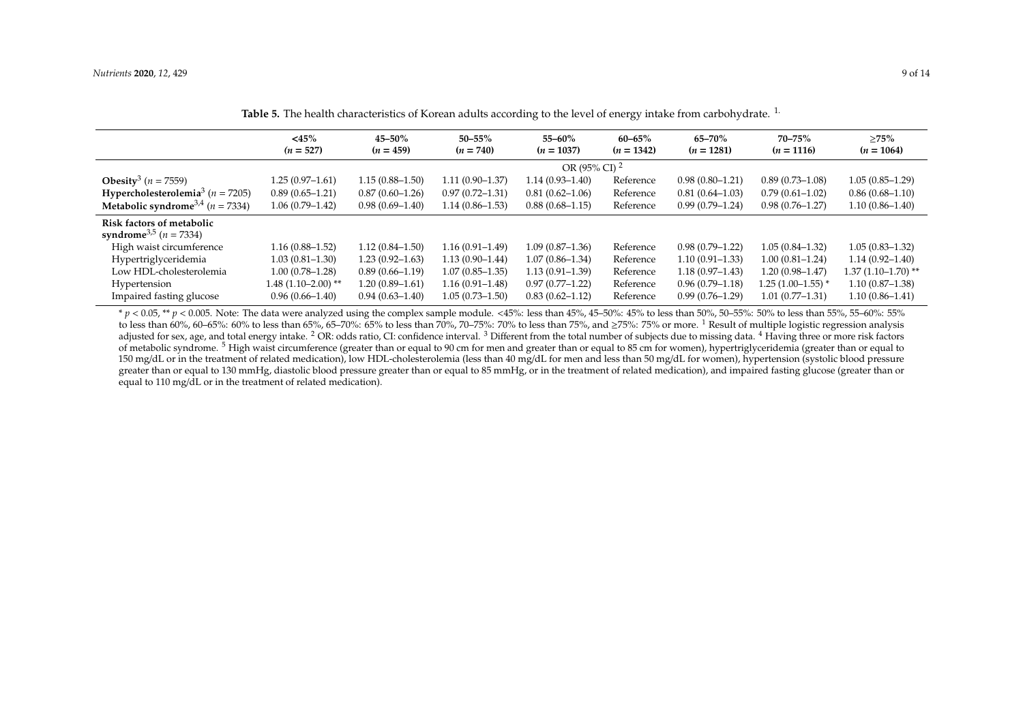|                                                                         | $<$ 45%<br>$(n = 527)$ | $45 - 50\%$<br>$(n = 459)$ | $50 - 55\%$<br>$(n = 740)$ | 55–60%<br>$(n = 1037)$   | $60 - 65%$<br>$(n = 1342)$ | $65 - 70%$<br>$(n = 1281)$ | $70 - 75%$<br>$(n = 1116)$ | >75%<br>$(n = 1064)$ |
|-------------------------------------------------------------------------|------------------------|----------------------------|----------------------------|--------------------------|----------------------------|----------------------------|----------------------------|----------------------|
|                                                                         |                        |                            |                            | OR (95% CI) <sup>2</sup> |                            |                            |                            |                      |
| <b>Obesity</b> <sup>3</sup> ( <i>n</i> = 7559)                          | $1.25(0.97-1.61)$      | $1.15(0.88 - 1.50)$        | $1.11(0.90 - 1.37)$        | $1.14(0.93 - 1.40)$      | Reference                  | $0.98(0.80-1.21)$          | $0.89(0.73 - 1.08)$        | $1.05(0.85-1.29)$    |
| Hypercholesterolemia <sup>3</sup> ( $n = 7205$ )                        | $0.89(0.65 - 1.21)$    | $0.87(0.60-1.26)$          | $0.97(0.72 - 1.31)$        | $0.81(0.62 - 1.06)$      | Reference                  | $0.81(0.64 - 1.03)$        | $0.79(0.61 - 1.02)$        | $0.86(0.68-1.10)$    |
| <b>Metabolic syndrome</b> <sup>3,4</sup> ( $n = 7334$ )                 | $1.06(0.79 - 1.42)$    | $0.98(0.69 - 1.40)$        | $1.14(0.86 - 1.53)$        | $0.88(0.68 - 1.15)$      | Reference                  | $0.99(0.79-1.24)$          | $0.98(0.76 - 1.27)$        | $1.10(0.86 - 1.40)$  |
| Risk factors of metabolic<br>syndrome <sup>3,5</sup> ( <i>n</i> = 7334) |                        |                            |                            |                          |                            |                            |                            |                      |
| High waist circumference                                                | $1.16(0.88 - 1.52)$    | $1.12(0.84 - 1.50)$        | $1.16(0.91 - 1.49)$        | $1.09(0.87 - 1.36)$      | Reference                  | $0.98(0.79-1.22)$          | $1.05(0.84 - 1.32)$        | $1.05(0.83 - 1.32)$  |
| Hypertriglyceridemia                                                    | $1.03(0.81 - 1.30)$    | $1.23(0.92 - 1.63)$        | $1.13(0.90 - 1.44)$        | $1.07(0.86 - 1.34)$      | Reference                  | $1.10(0.91 - 1.33)$        | $1.00(0.81 - 1.24)$        | $1.14(0.92 - 1.40)$  |
| Low HDL-cholesterolemia                                                 | $1.00(0.78 - 1.28)$    | $0.89(0.66 - 1.19)$        | $1.07(0.85 - 1.35)$        | $1.13(0.91 - 1.39)$      | Reference                  | $1.18(0.97 - 1.43)$        | $1.20(0.98 - 1.47)$        | $1.37(1.10-1.70)$ ** |
| Hypertension                                                            | $1.48(1.10-2.00)$ **   | $1.20(0.89 - 1.61)$        | $1.16(0.91 - 1.48)$        | $0.97(0.77 - 1.22)$      | Reference                  | $0.96(0.79-1.18)$          | $1.25(1.00-1.55)$ *        | $1.10(0.87 - 1.38)$  |
| Impaired fasting glucose                                                | $0.96(0.66 - 1.40)$    | $0.94(0.63 - 1.40)$        | $1.05(0.73 - 1.50)$        | $0.83(0.62 - 1.12)$      | Reference                  | $0.99(0.76 - 1.29)$        | $1.01(0.77 - 1.31)$        | $1.10(0.86 - 1.41)$  |

**Table 5.** The health characteristics of Korean adults according to the level of energy intake from carbohydrate. 1.

<span id="page-8-0"></span>\* *p* < 0.05, \*\* *p* < 0.005. Note: The data were analyzed using the complex sample module. <45%: less than 45%, 45–50%: 45% to less than 50%, 50–55%: 50% to less than 55%, 55–60%: 55% to less than 60%, 60–65%: 60% to less than 65%, 65–70%: 65% to less than 70%, 70–75%: 70% to less than 75%, and  $\geq 75$ %: 75% or more. <sup>1</sup> Result of multiple logistic regression analysis adjusted for sex, age, and total energy intake. <sup>2</sup> OR: odds ratio, CI: confidence interval. <sup>3</sup> Different from the total number of subjects due to missing data. <sup>4</sup> Having three or more risk factors of metabolic syndrome.<sup>5</sup> High waist circumference (greater than or equal to 90 cm for men and greater than or equal to 85 cm for women), hypertrigly ceridemia (greater than or equal to 150 mg/dL or in the treatment of related medication), low HDL-cholesterolemia (less than 40 mg/dL for men and less than 50 mg/dL for women), hypertension (systolic blood pressure greater than or equal to 130 mmHg, diastolic blood pressure greater than or equal to 85 mmHg, or in the treatment of related medication), and impaired fasting glucose (greater than or equal to 110 mg/dL or in the treatment of related medication).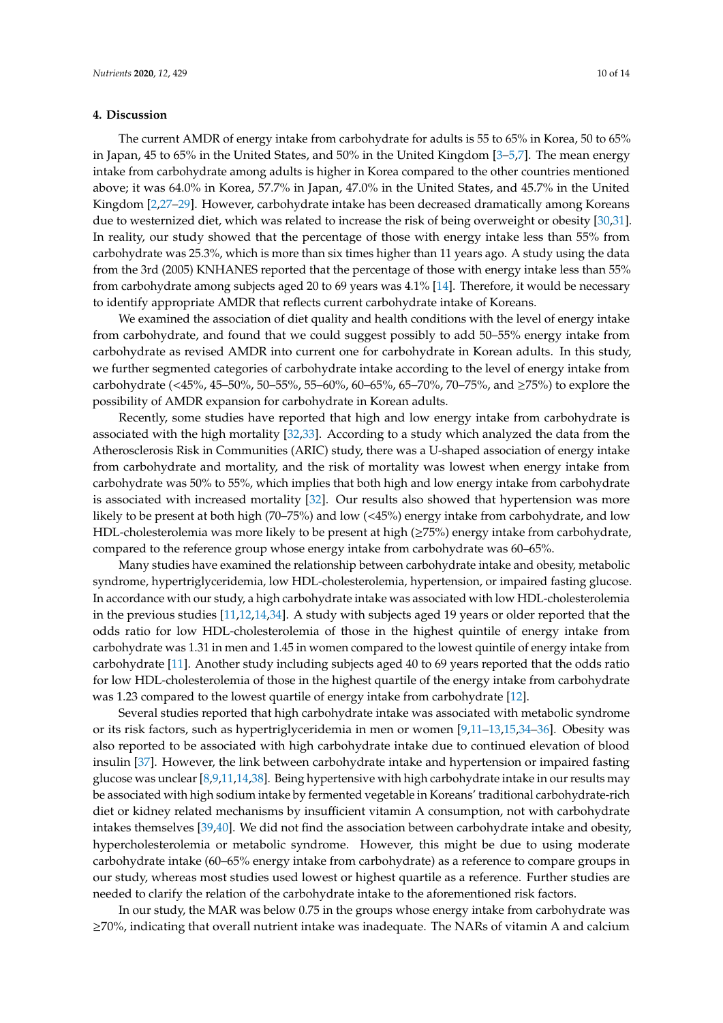#### **4. Discussion**

The current AMDR of energy intake from carbohydrate for adults is 55 to 65% in Korea, 50 to 65% in Japan, 45 to 65% in the United States, and 50% in the United Kingdom [\[3](#page-11-2)[–5,](#page-11-9)[7\]](#page-11-4). The mean energy intake from carbohydrate among adults is higher in Korea compared to the other countries mentioned above; it was 64.0% in Korea, 57.7% in Japan, 47.0% in the United States, and 45.7% in the United Kingdom [\[2](#page-11-1)[,27–](#page-12-13)[29\]](#page-12-14). However, carbohydrate intake has been decreased dramatically among Koreans due to westernized diet, which was related to increase the risk of being overweight or obesity [\[30,](#page-12-15)[31\]](#page-12-16). In reality, our study showed that the percentage of those with energy intake less than 55% from carbohydrate was 25.3%, which is more than six times higher than 11 years ago. A study using the data from the 3rd (2005) KNHANES reported that the percentage of those with energy intake less than 55% from carbohydrate among subjects aged 20 to 69 years was 4.1% [\[14\]](#page-12-2). Therefore, it would be necessary to identify appropriate AMDR that reflects current carbohydrate intake of Koreans.

We examined the association of diet quality and health conditions with the level of energy intake from carbohydrate, and found that we could suggest possibly to add 50–55% energy intake from carbohydrate as revised AMDR into current one for carbohydrate in Korean adults. In this study, we further segmented categories of carbohydrate intake according to the level of energy intake from carbohydrate (<45%, 45–50%, 50–55%, 55–60%, 60–65%, 65–70%, 70–75%, and ≥75%) to explore the possibility of AMDR expansion for carbohydrate in Korean adults.

Recently, some studies have reported that high and low energy intake from carbohydrate is associated with the high mortality [\[32,](#page-12-17)[33\]](#page-13-0). According to a study which analyzed the data from the Atherosclerosis Risk in Communities (ARIC) study, there was a U-shaped association of energy intake from carbohydrate and mortality, and the risk of mortality was lowest when energy intake from carbohydrate was 50% to 55%, which implies that both high and low energy intake from carbohydrate is associated with increased mortality [\[32\]](#page-12-17). Our results also showed that hypertension was more likely to be present at both high (70–75%) and low (<45%) energy intake from carbohydrate, and low HDL-cholesterolemia was more likely to be present at high (≥75%) energy intake from carbohydrate, compared to the reference group whose energy intake from carbohydrate was 60–65%.

Many studies have examined the relationship between carbohydrate intake and obesity, metabolic syndrome, hypertriglyceridemia, low HDL-cholesterolemia, hypertension, or impaired fasting glucose. In accordance with our study, a high carbohydrate intake was associated with low HDL-cholesterolemia in the previous studies [\[11,](#page-11-8)[12,](#page-12-1)[14,](#page-12-2)[34\]](#page-13-1). A study with subjects aged 19 years or older reported that the odds ratio for low HDL-cholesterolemia of those in the highest quintile of energy intake from carbohydrate was 1.31 in men and 1.45 in women compared to the lowest quintile of energy intake from carbohydrate [\[11\]](#page-11-8). Another study including subjects aged 40 to 69 years reported that the odds ratio for low HDL-cholesterolemia of those in the highest quartile of the energy intake from carbohydrate was 1.23 compared to the lowest quartile of energy intake from carbohydrate [\[12\]](#page-12-1).

Several studies reported that high carbohydrate intake was associated with metabolic syndrome or its risk factors, such as hypertriglyceridemia in men or women [\[9](#page-11-6)[,11](#page-11-8)[–13](#page-12-0)[,15](#page-12-3)[,34–](#page-13-1)[36\]](#page-13-2). Obesity was also reported to be associated with high carbohydrate intake due to continued elevation of blood insulin [\[37\]](#page-13-3). However, the link between carbohydrate intake and hypertension or impaired fasting glucose was unclear [\[8,](#page-11-5)[9](#page-11-6)[,11](#page-11-8)[,14](#page-12-2)[,38\]](#page-13-4). Being hypertensive with high carbohydrate intake in our results may be associated with high sodium intake by fermented vegetable in Koreans' traditional carbohydrate-rich diet or kidney related mechanisms by insufficient vitamin A consumption, not with carbohydrate intakes themselves [\[39,](#page-13-5)[40\]](#page-13-6). We did not find the association between carbohydrate intake and obesity, hypercholesterolemia or metabolic syndrome. However, this might be due to using moderate carbohydrate intake (60–65% energy intake from carbohydrate) as a reference to compare groups in our study, whereas most studies used lowest or highest quartile as a reference. Further studies are needed to clarify the relation of the carbohydrate intake to the aforementioned risk factors.

In our study, the MAR was below 0.75 in the groups whose energy intake from carbohydrate was ≥70%, indicating that overall nutrient intake was inadequate. The NARs of vitamin A and calcium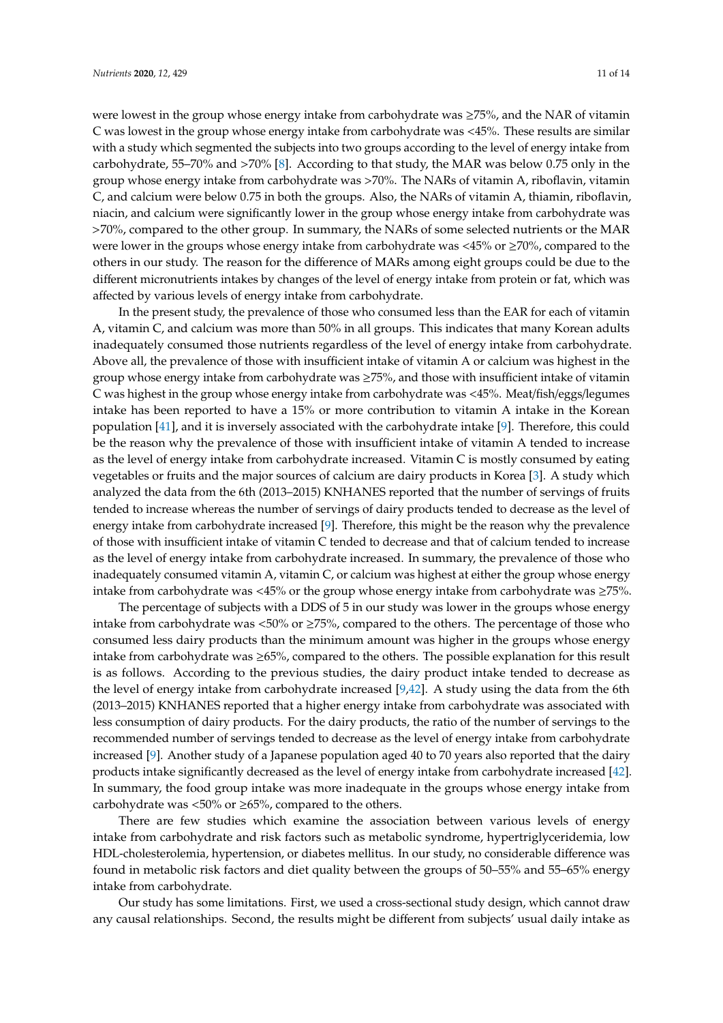were lowest in the group whose energy intake from carbohydrate was ≥75%, and the NAR of vitamin C was lowest in the group whose energy intake from carbohydrate was <45%. These results are similar with a study which segmented the subjects into two groups according to the level of energy intake from carbohydrate, 55–70% and >70% [\[8\]](#page-11-5). According to that study, the MAR was below 0.75 only in the group whose energy intake from carbohydrate was >70%. The NARs of vitamin A, riboflavin, vitamin C, and calcium were below 0.75 in both the groups. Also, the NARs of vitamin A, thiamin, riboflavin, niacin, and calcium were significantly lower in the group whose energy intake from carbohydrate was >70%, compared to the other group. In summary, the NARs of some selected nutrients or the MAR were lower in the groups whose energy intake from carbohydrate was  $\langle 45\% \text{ or } \geq 70\%$ , compared to the others in our study. The reason for the difference of MARs among eight groups could be due to the different micronutrients intakes by changes of the level of energy intake from protein or fat, which was affected by various levels of energy intake from carbohydrate.

In the present study, the prevalence of those who consumed less than the EAR for each of vitamin A, vitamin C, and calcium was more than 50% in all groups. This indicates that many Korean adults inadequately consumed those nutrients regardless of the level of energy intake from carbohydrate. Above all, the prevalence of those with insufficient intake of vitamin A or calcium was highest in the group whose energy intake from carbohydrate was ≥75%, and those with insufficient intake of vitamin C was highest in the group whose energy intake from carbohydrate was <45%. Meat/fish/eggs/legumes intake has been reported to have a 15% or more contribution to vitamin A intake in the Korean population [\[41\]](#page-13-7), and it is inversely associated with the carbohydrate intake [\[9\]](#page-11-6). Therefore, this could be the reason why the prevalence of those with insufficient intake of vitamin A tended to increase as the level of energy intake from carbohydrate increased. Vitamin C is mostly consumed by eating vegetables or fruits and the major sources of calcium are dairy products in Korea [\[3\]](#page-11-2). A study which analyzed the data from the 6th (2013–2015) KNHANES reported that the number of servings of fruits tended to increase whereas the number of servings of dairy products tended to decrease as the level of energy intake from carbohydrate increased [\[9\]](#page-11-6). Therefore, this might be the reason why the prevalence of those with insufficient intake of vitamin C tended to decrease and that of calcium tended to increase as the level of energy intake from carbohydrate increased. In summary, the prevalence of those who inadequately consumed vitamin A, vitamin C, or calcium was highest at either the group whose energy intake from carbohydrate was <45% or the group whose energy intake from carbohydrate was  $\geq$ 75%.

The percentage of subjects with a DDS of 5 in our study was lower in the groups whose energy intake from carbohydrate was <50% or ≥75%, compared to the others. The percentage of those who consumed less dairy products than the minimum amount was higher in the groups whose energy intake from carbohydrate was ≥65%, compared to the others. The possible explanation for this result is as follows. According to the previous studies, the dairy product intake tended to decrease as the level of energy intake from carbohydrate increased [\[9,](#page-11-6)[42\]](#page-13-8). A study using the data from the 6th (2013–2015) KNHANES reported that a higher energy intake from carbohydrate was associated with less consumption of dairy products. For the dairy products, the ratio of the number of servings to the recommended number of servings tended to decrease as the level of energy intake from carbohydrate increased [\[9\]](#page-11-6). Another study of a Japanese population aged 40 to 70 years also reported that the dairy products intake significantly decreased as the level of energy intake from carbohydrate increased [\[42\]](#page-13-8). In summary, the food group intake was more inadequate in the groups whose energy intake from carbohydrate was <50% or  $\geq$ 65%, compared to the others.

There are few studies which examine the association between various levels of energy intake from carbohydrate and risk factors such as metabolic syndrome, hypertriglyceridemia, low HDL-cholesterolemia, hypertension, or diabetes mellitus. In our study, no considerable difference was found in metabolic risk factors and diet quality between the groups of 50–55% and 55–65% energy intake from carbohydrate.

Our study has some limitations. First, we used a cross-sectional study design, which cannot draw any causal relationships. Second, the results might be different from subjects' usual daily intake as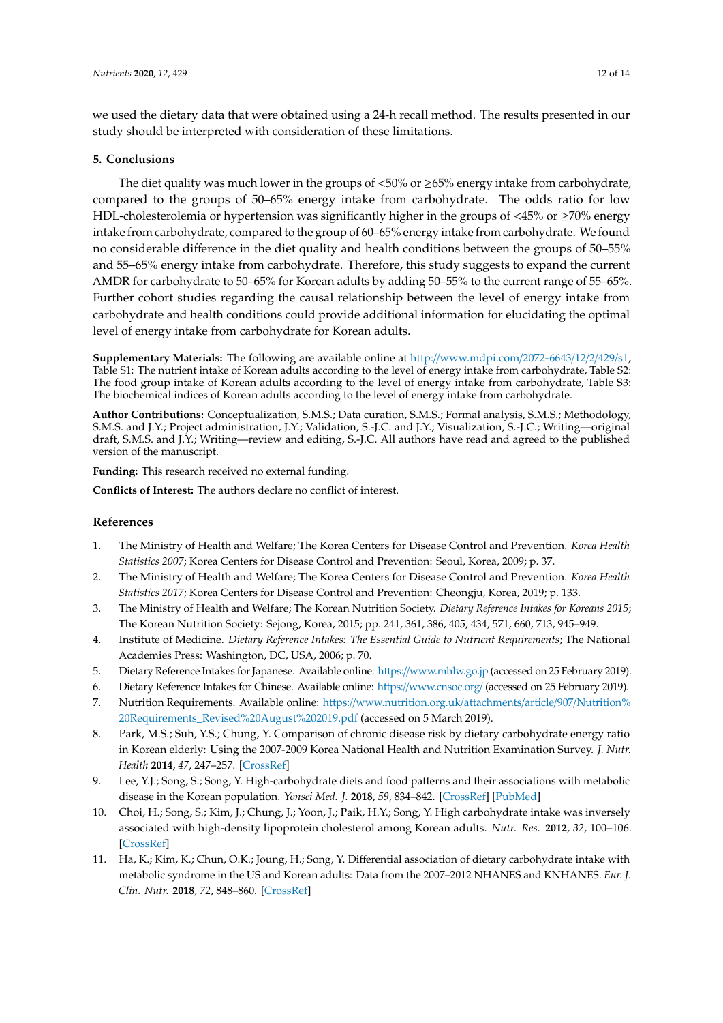we used the dietary data that were obtained using a 24-h recall method. The results presented in our study should be interpreted with consideration of these limitations.

### **5. Conclusions**

The diet quality was much lower in the groups of  $\langle 50\% \text{ or } \rangle 265\%$  energy intake from carbohydrate, compared to the groups of 50–65% energy intake from carbohydrate. The odds ratio for low HDL-cholesterolemia or hypertension was significantly higher in the groups of  $\leq 45\%$  or  $\geq 70\%$  energy intake from carbohydrate, compared to the group of 60–65% energy intake from carbohydrate. We found no considerable difference in the diet quality and health conditions between the groups of 50–55% and 55–65% energy intake from carbohydrate. Therefore, this study suggests to expand the current AMDR for carbohydrate to 50–65% for Korean adults by adding 50–55% to the current range of 55–65%. Further cohort studies regarding the causal relationship between the level of energy intake from carbohydrate and health conditions could provide additional information for elucidating the optimal level of energy intake from carbohydrate for Korean adults.

**Supplementary Materials:** The following are available online at http://[www.mdpi.com](http://www.mdpi.com/2072-6643/12/2/429/s1)/2072-6643/12/2/429/s1, Table S1: The nutrient intake of Korean adults according to the level of energy intake from carbohydrate, Table S2: The food group intake of Korean adults according to the level of energy intake from carbohydrate, Table S3: The biochemical indices of Korean adults according to the level of energy intake from carbohydrate.

**Author Contributions:** Conceptualization, S.M.S.; Data curation, S.M.S.; Formal analysis, S.M.S.; Methodology, S.M.S. and J.Y.; Project administration, J.Y.; Validation, S.-J.C. and J.Y.; Visualization, S.-J.C.; Writing—original draft, S.M.S. and J.Y.; Writing—review and editing, S.-J.C. All authors have read and agreed to the published version of the manuscript.

**Funding:** This research received no external funding.

**Conflicts of Interest:** The authors declare no conflict of interest.

#### **References**

- <span id="page-11-0"></span>1. The Ministry of Health and Welfare; The Korea Centers for Disease Control and Prevention. *Korea Health Statistics 2007*; Korea Centers for Disease Control and Prevention: Seoul, Korea, 2009; p. 37.
- <span id="page-11-1"></span>2. The Ministry of Health and Welfare; The Korea Centers for Disease Control and Prevention. *Korea Health Statistics 2017*; Korea Centers for Disease Control and Prevention: Cheongju, Korea, 2019; p. 133.
- <span id="page-11-2"></span>3. The Ministry of Health and Welfare; The Korean Nutrition Society. *Dietary Reference Intakes for Koreans 2015*; The Korean Nutrition Society: Sejong, Korea, 2015; pp. 241, 361, 386, 405, 434, 571, 660, 713, 945–949.
- <span id="page-11-3"></span>4. Institute of Medicine. *Dietary Reference Intakes: The Essential Guide to Nutrient Requirements*; The National Academies Press: Washington, DC, USA, 2006; p. 70.
- <span id="page-11-9"></span>5. Dietary Reference Intakes for Japanese. Available online: https://[www.mhlw.go.jp](https://www.mhlw.go.jp) (accessed on 25 February 2019).
- 6. Dietary Reference Intakes for Chinese. Available online: https://[www.cnsoc.org](https://www.cnsoc.org/)/ (accessed on 25 February 2019).
- <span id="page-11-4"></span>7. Nutrition Requirements. Available online: https://[www.nutrition.org.uk](https://www.nutrition.org.uk/attachments/article/907/Nutrition%20Requirements_Revised%20August%202019.pdf)/attachments/article/907/Nutrition% [20Requirements\\_Revised%20August%202019.pdf](https://www.nutrition.org.uk/attachments/article/907/Nutrition%20Requirements_Revised%20August%202019.pdf) (accessed on 5 March 2019).
- <span id="page-11-5"></span>8. Park, M.S.; Suh, Y.S.; Chung, Y. Comparison of chronic disease risk by dietary carbohydrate energy ratio in Korean elderly: Using the 2007-2009 Korea National Health and Nutrition Examination Survey. *J. Nutr. Health* **2014**, *47*, 247–257. [\[CrossRef\]](http://dx.doi.org/10.4163/jnh.2014.47.4.247)
- <span id="page-11-6"></span>9. Lee, Y.J.; Song, S.; Song, Y. High-carbohydrate diets and food patterns and their associations with metabolic disease in the Korean population. *Yonsei Med. J.* **2018**, *59*, 834–842. [\[CrossRef\]](http://dx.doi.org/10.3349/ymj.2018.59.7.834) [\[PubMed\]](http://www.ncbi.nlm.nih.gov/pubmed/30091316)
- <span id="page-11-7"></span>10. Choi, H.; Song, S.; Kim, J.; Chung, J.; Yoon, J.; Paik, H.Y.; Song, Y. High carbohydrate intake was inversely associated with high-density lipoprotein cholesterol among Korean adults. *Nutr. Res.* **2012**, *32*, 100–106. [\[CrossRef\]](http://dx.doi.org/10.1016/j.nutres.2011.12.013)
- <span id="page-11-8"></span>11. Ha, K.; Kim, K.; Chun, O.K.; Joung, H.; Song, Y. Differential association of dietary carbohydrate intake with metabolic syndrome in the US and Korean adults: Data from the 2007–2012 NHANES and KNHANES. *Eur. J. Clin. Nutr.* **2018**, *72*, 848–860. [\[CrossRef\]](http://dx.doi.org/10.1038/s41430-017-0031-8)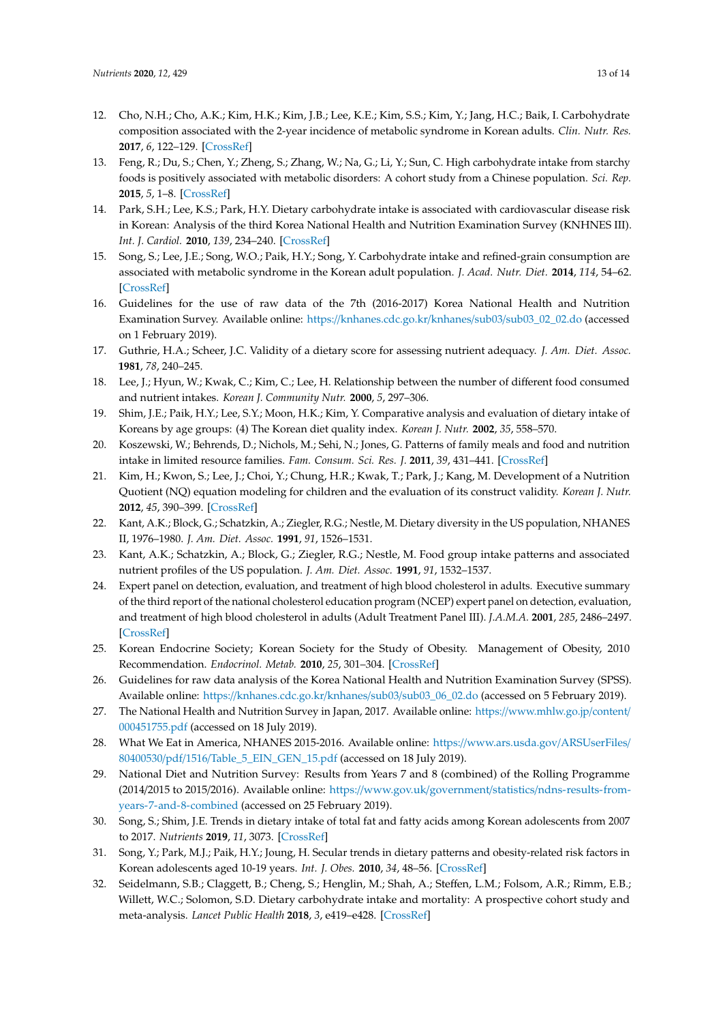- <span id="page-12-1"></span>12. Cho, N.H.; Cho, A.K.; Kim, H.K.; Kim, J.B.; Lee, K.E.; Kim, S.S.; Kim, Y.; Jang, H.C.; Baik, I. Carbohydrate composition associated with the 2-year incidence of metabolic syndrome in Korean adults. *Clin. Nutr. Res.* **2017**, *6*, 122–129. [\[CrossRef\]](http://dx.doi.org/10.7762/cnr.2017.6.2.122)
- <span id="page-12-0"></span>13. Feng, R.; Du, S.; Chen, Y.; Zheng, S.; Zhang, W.; Na, G.; Li, Y.; Sun, C. High carbohydrate intake from starchy foods is positively associated with metabolic disorders: A cohort study from a Chinese population. *Sci. Rep.* **2015**, *5*, 1–8. [\[CrossRef\]](http://dx.doi.org/10.1038/srep16919)
- <span id="page-12-2"></span>14. Park, S.H.; Lee, K.S.; Park, H.Y. Dietary carbohydrate intake is associated with cardiovascular disease risk in Korean: Analysis of the third Korea National Health and Nutrition Examination Survey (KNHNES III). *Int. J. Cardiol.* **2010**, *139*, 234–240. [\[CrossRef\]](http://dx.doi.org/10.1016/j.ijcard.2008.10.011)
- <span id="page-12-3"></span>15. Song, S.; Lee, J.E.; Song, W.O.; Paik, H.Y.; Song, Y. Carbohydrate intake and refined-grain consumption are associated with metabolic syndrome in the Korean adult population. *J. Acad. Nutr. Diet.* **2014**, *114*, 54–62. [\[CrossRef\]](http://dx.doi.org/10.1016/j.jand.2013.08.025)
- <span id="page-12-4"></span>16. Guidelines for the use of raw data of the 7th (2016-2017) Korea National Health and Nutrition Examination Survey. Available online: https://[knhanes.cdc.go.kr](https://knhanes.cdc.go.kr/knhanes/sub03/sub03_02_02.do)/knhanes/sub03/sub03\_02\_02.do (accessed on 1 February 2019).
- <span id="page-12-5"></span>17. Guthrie, H.A.; Scheer, J.C. Validity of a dietary score for assessing nutrient adequacy. *J. Am. Diet. Assoc.* **1981**, *78*, 240–245.
- <span id="page-12-6"></span>18. Lee, J.; Hyun, W.; Kwak, C.; Kim, C.; Lee, H. Relationship between the number of different food consumed and nutrient intakes. *Korean J. Community Nutr.* **2000**, *5*, 297–306.
- 19. Shim, J.E.; Paik, H.Y.; Lee, S.Y.; Moon, H.K.; Kim, Y. Comparative analysis and evaluation of dietary intake of Koreans by age groups: (4) The Korean diet quality index. *Korean J. Nutr.* **2002**, *35*, 558–570.
- 20. Koszewski, W.; Behrends, D.; Nichols, M.; Sehi, N.; Jones, G. Patterns of family meals and food and nutrition intake in limited resource families. *Fam. Consum. Sci. Res. J.* **2011**, *39*, 431–441. [\[CrossRef\]](http://dx.doi.org/10.1111/j.1552-3934.2011.02080.x)
- <span id="page-12-7"></span>21. Kim, H.; Kwon, S.; Lee, J.; Choi, Y.; Chung, H.R.; Kwak, T.; Park, J.; Kang, M. Development of a Nutrition Quotient (NQ) equation modeling for children and the evaluation of its construct validity. *Korean J. Nutr.* **2012**, *45*, 390–399. [\[CrossRef\]](http://dx.doi.org/10.4163/kjn.2012.45.4.390)
- <span id="page-12-8"></span>22. Kant, A.K.; Block, G.; Schatzkin, A.; Ziegler, R.G.; Nestle, M. Dietary diversity in the US population, NHANES II, 1976–1980. *J. Am. Diet. Assoc.* **1991**, *91*, 1526–1531.
- <span id="page-12-9"></span>23. Kant, A.K.; Schatzkin, A.; Block, G.; Ziegler, R.G.; Nestle, M. Food group intake patterns and associated nutrient profiles of the US population. *J. Am. Diet. Assoc.* **1991**, *91*, 1532–1537.
- <span id="page-12-10"></span>24. Expert panel on detection, evaluation, and treatment of high blood cholesterol in adults. Executive summary of the third report of the national cholesterol education program (NCEP) expert panel on detection, evaluation, and treatment of high blood cholesterol in adults (Adult Treatment Panel III). *J.A.M.A.* **2001**, *285*, 2486–2497. [\[CrossRef\]](http://dx.doi.org/10.1001/jama.285.19.2486)
- <span id="page-12-11"></span>25. Korean Endocrine Society; Korean Society for the Study of Obesity. Management of Obesity, 2010 Recommendation. *Endocrinol. Metab.* **2010**, *25*, 301–304. [\[CrossRef\]](http://dx.doi.org/10.3803/EnM.2010.25.4.301)
- <span id="page-12-12"></span>26. Guidelines for raw data analysis of the Korea National Health and Nutrition Examination Survey (SPSS). Available online: https://[knhanes.cdc.go.kr](https://knhanes.cdc.go.kr/knhanes/sub03/sub03_06_02.do)/knhanes/sub03/sub03\_06\_02.do (accessed on 5 February 2019).
- <span id="page-12-13"></span>27. The National Health and Nutrition Survey in Japan, 2017. Available online: https://[www.mhlw.go.jp](https://www.mhlw.go.jp/content/000451755.pdf)/content/ [000451755.pdf](https://www.mhlw.go.jp/content/000451755.pdf) (accessed on 18 July 2019).
- 28. What We Eat in America, NHANES 2015-2016. Available online: https://[www.ars.usda.gov](https://www.ars.usda.gov/ARSUserFiles/80400530/pdf/1516/Table_5_EIN_GEN_15.pdf)/ARSUserFiles/ 80400530/pdf/1516/[Table\\_5\\_EIN\\_GEN\\_15.pdf](https://www.ars.usda.gov/ARSUserFiles/80400530/pdf/1516/Table_5_EIN_GEN_15.pdf) (accessed on 18 July 2019).
- <span id="page-12-14"></span>29. National Diet and Nutrition Survey: Results from Years 7 and 8 (combined) of the Rolling Programme (2014/2015 to 2015/2016). Available online: https://www.gov.uk/government/statistics/[ndns-results-from](https://www.gov.uk/government/statistics/ndns-results-from-years-7-and-8-combined)[years-7-and-8-combined](https://www.gov.uk/government/statistics/ndns-results-from-years-7-and-8-combined) (accessed on 25 February 2019).
- <span id="page-12-15"></span>30. Song, S.; Shim, J.E. Trends in dietary intake of total fat and fatty acids among Korean adolescents from 2007 to 2017. *Nutrients* **2019**, *11*, 3073. [\[CrossRef\]](http://dx.doi.org/10.3390/nu11123073)
- <span id="page-12-16"></span>31. Song, Y.; Park, M.J.; Paik, H.Y.; Joung, H. Secular trends in dietary patterns and obesity-related risk factors in Korean adolescents aged 10-19 years. *Int. J. Obes.* **2010**, *34*, 48–56. [\[CrossRef\]](http://dx.doi.org/10.1038/ijo.2009.203)
- <span id="page-12-17"></span>32. Seidelmann, S.B.; Claggett, B.; Cheng, S.; Henglin, M.; Shah, A.; Steffen, L.M.; Folsom, A.R.; Rimm, E.B.; Willett, W.C.; Solomon, S.D. Dietary carbohydrate intake and mortality: A prospective cohort study and meta-analysis. *Lancet Public Health* **2018**, *3*, e419–e428. [\[CrossRef\]](http://dx.doi.org/10.1016/S2468-2667(18)30135-X)